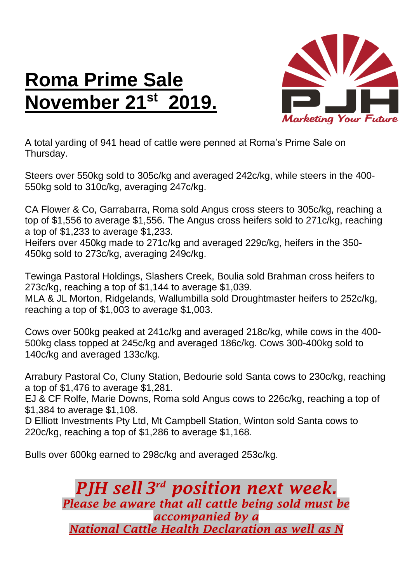## **Roma Prime Sale November 21st 2019.**



A total yarding of 941 head of cattle were penned at Roma's Prime Sale on Thursday.

Steers over 550kg sold to 305c/kg and averaged 242c/kg, while steers in the 400- 550kg sold to 310c/kg, averaging 247c/kg.

CA Flower & Co, Garrabarra, Roma sold Angus cross steers to 305c/kg, reaching a top of \$1,556 to average \$1,556. The Angus cross heifers sold to 271c/kg, reaching a top of \$1,233 to average \$1,233.

Heifers over 450kg made to 271c/kg and averaged 229c/kg, heifers in the 350- 450kg sold to 273c/kg, averaging 249c/kg.

Tewinga Pastoral Holdings, Slashers Creek, Boulia sold Brahman cross heifers to 273c/kg, reaching a top of \$1,144 to average \$1,039.

MLA & JL Morton, Ridgelands, Wallumbilla sold Droughtmaster heifers to 252c/kg, reaching a top of \$1,003 to average \$1,003.

Cows over 500kg peaked at 241c/kg and averaged 218c/kg, while cows in the 400- 500kg class topped at 245c/kg and averaged 186c/kg. Cows 300-400kg sold to 140c/kg and averaged 133c/kg.

Arrabury Pastoral Co, Cluny Station, Bedourie sold Santa cows to 230c/kg, reaching a top of \$1,476 to average \$1,281.

EJ & CF Rolfe, Marie Downs, Roma sold Angus cows to 226c/kg, reaching a top of \$1,384 to average \$1,108.

D Elliott Investments Pty Ltd, Mt Campbell Station, Winton sold Santa cows to 220c/kg, reaching a top of \$1,286 to average \$1,168.

Bulls over 600kg earned to 298c/kg and averaged 253c/kg.

*PJH sell 3 rd position next week. Please be aware that all cattle being sold must be accompanied by a National Cattle Health Declaration as well as N*